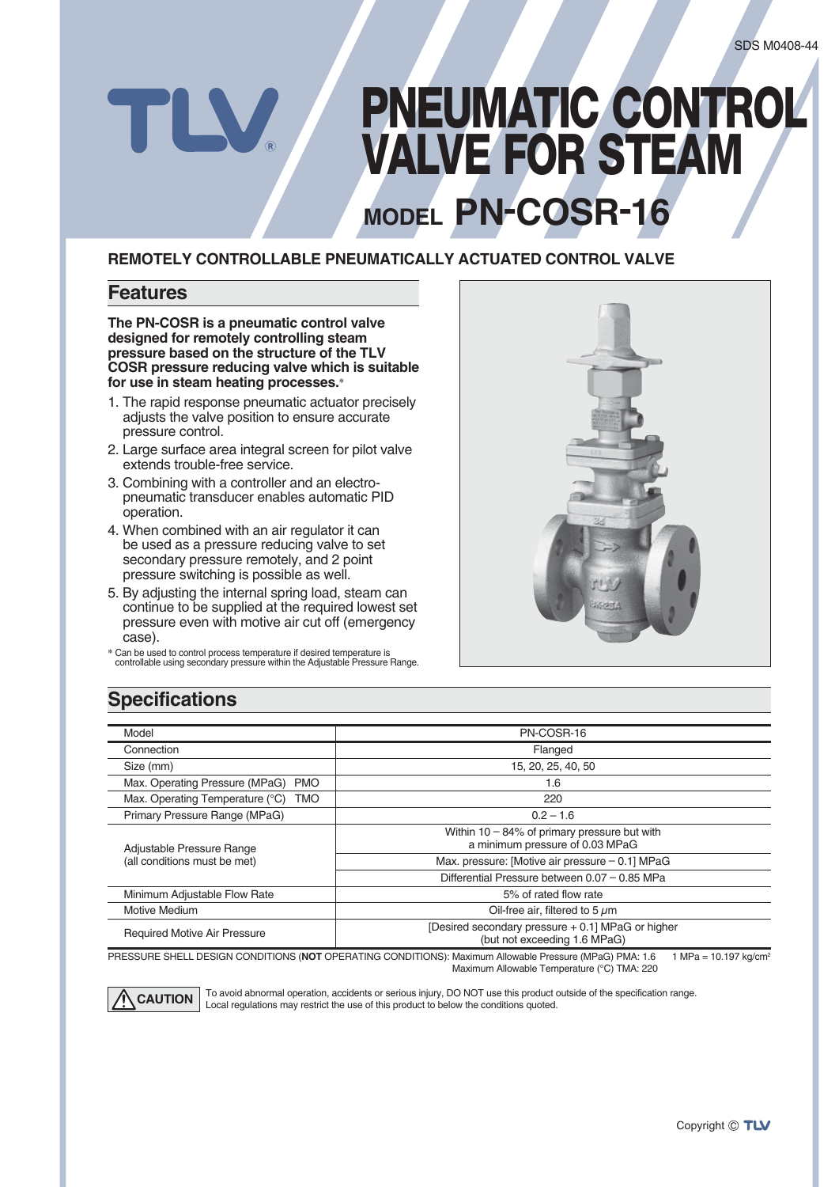# **MODEL PN-COSR-16 PNEUMATIC CONTROL VALVE FOR STEAM**

#### **REMOTELY CONTROLLABLE PNEUMATICALLY ACTUATED CONTROL VALVE**

#### **Features**

**The PN-COSR is a pneumatic control valve designed for remotely controlling steam pressure based on the structure of the TLV COSR pressure reducing valve which is suitable for use in steam heating processes.\***

- 1. The rapid response pneumatic actuator precisely adjusts the valve position to ensure accurate pressure control.
- 2. Large surface area integral screen for pilot valve extends trouble-free service.
- 3. Combining with a controller and an electropneumatic transducer enables automatic PID operation.
- 4. When combined with an air regulator it can be used as a pressure reducing valve to set secondary pressure remotely, and 2 point pressure switching is possible as well.
- 5. By adjusting the internal spring load, steam can continue to be supplied at the required lowest set pressure even with motive air cut off (emergency case).
- **\*** Can be used to control process temperature if desired temperature is controllable using secondary pressure within the Adjustable Pressure Range.



### **Specifications**

| Model                                        | PN-COSR-16                                                                         |
|----------------------------------------------|------------------------------------------------------------------------------------|
| Connection                                   | Flanged                                                                            |
| Size (mm)                                    | 15, 20, 25, 40, 50                                                                 |
| Max. Operating Pressure (MPaG)<br><b>PMO</b> | 1.6                                                                                |
| Max. Operating Temperature (°C) TMO          | 220                                                                                |
| Primary Pressure Range (MPaG)                | $0.2 - 1.6$                                                                        |
| Adjustable Pressure Range                    | Within $10 - 84\%$ of primary pressure but with<br>a minimum pressure of 0.03 MPaG |
| (all conditions must be met)                 | Max. pressure: [Motive air pressure $-$ 0.1] MPaG                                  |
|                                              | Differential Pressure between 0.07 - 0.85 MPa                                      |
| Minimum Adjustable Flow Rate                 | 5% of rated flow rate                                                              |
| Motive Medium                                | Oil-free air, filtered to 5 $\mu$ m                                                |
| <b>Required Motive Air Pressure</b>          | [Desired secondary pressure + 0.1] MPaG or higher<br>(but not exceeding 1.6 MPaG)  |

PRESSURE SHELL DESIGN CONDITIONS (NOT OPERATING CONDITIONS): Maximum Allowable Pressure (MPaG) PMA: 1.6 1 MPa = 10.197 kg/cm<sup>2</sup> Maximum Allowable Temperature (°C) TMA: 220



To avoid abnormal operation, accidents or serious injury, DO NOT use this product outside of the specification range. **CAUTION** | To avoid abnormal operation, accidents or serious injury, DO NOT use this product of the conditions quoted.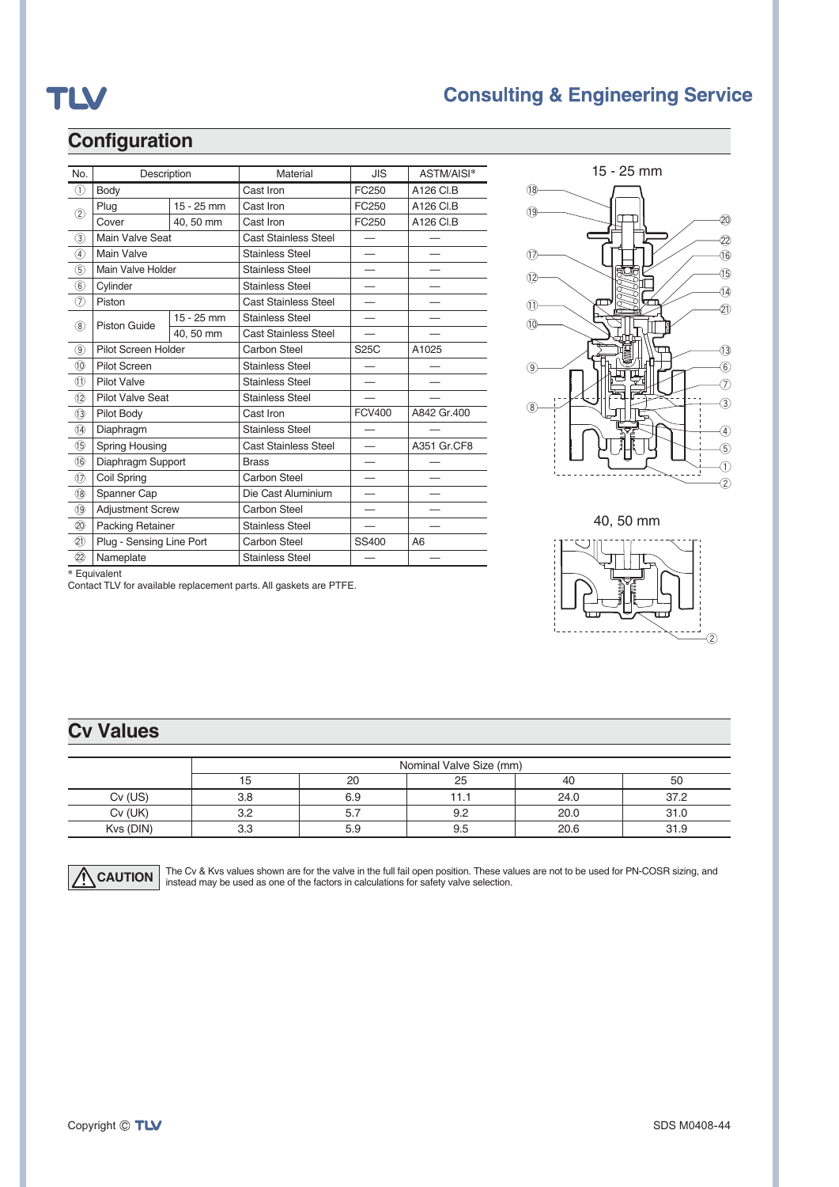## TLV

### **Consulting & Engineering Service**

## **Configuration**

| No.                            | Description              |              | Material                    | <b>JIS</b>    | ASTM/AISI*  |  |
|--------------------------------|--------------------------|--------------|-----------------------------|---------------|-------------|--|
| $\textcircled{\scriptsize{1}}$ | Body                     |              | Cast Iron                   | FC250         | A126 CI.B   |  |
| $\circled{2}$                  | Plug                     | 15 - 25 mm   | Cast Iron                   | FC250         | A126 CI.B   |  |
|                                | Cover                    | 40.50 mm     | Cast Iron                   | FC250         | A126 CI.B   |  |
| $\circled{3}$                  | Main Valve Seat          |              | <b>Cast Stainless Steel</b> |               |             |  |
| 4                              | Main Valve               |              | <b>Stainless Steel</b>      |               |             |  |
| $\circledS$                    | Main Valve Holder        |              | <b>Stainless Steel</b>      |               |             |  |
| 6                              | Cylinder                 |              | <b>Stainless Steel</b>      |               |             |  |
| $\circled7$                    | Piston                   |              | <b>Cast Stainless Steel</b> |               |             |  |
| (8)                            | <b>Piston Guide</b>      | $15 - 25$ mm | <b>Stainless Steel</b>      |               |             |  |
|                                |                          | 40, 50 mm    | <b>Cast Stainless Steel</b> |               |             |  |
| $\circledcirc$                 | Pilot Screen Holder      |              | Carbon Steel                | S25C          | A1025       |  |
| (10)                           | <b>Pilot Screen</b>      |              | <b>Stainless Steel</b>      |               |             |  |
| (1)                            | <b>Pilot Valve</b>       |              | <b>Stainless Steel</b>      |               |             |  |
| (12)                           | <b>Pilot Valve Seat</b>  |              | <b>Stainless Steel</b>      |               |             |  |
| (13)                           | Pilot Body               |              | Cast Iron                   | <b>FCV400</b> | A842 Gr.400 |  |
| $\overline{14}$                | Diaphragm                |              | <b>Stainless Steel</b>      |               |             |  |
| (15)                           | Spring Housing           |              | <b>Cast Stainless Steel</b> |               | A351 Gr.CF8 |  |
| (16)                           | Diaphragm Support        |              | <b>Brass</b>                |               |             |  |
| $\textcircled{12}$             | Coil Spring              |              | Carbon Steel                |               |             |  |
| (18)                           | Spanner Cap              |              | Die Cast Aluminium          |               |             |  |
| (19)                           | <b>Adjustment Screw</b>  |              | Carbon Steel                |               |             |  |
| $\circled{2}$                  | <b>Packing Retainer</b>  |              | <b>Stainless Steel</b>      |               |             |  |
| (2)                            | Plug - Sensing Line Port |              | Carbon Steel                | SS400         | A6          |  |
| (22)                           | Nameplate                |              | <b>Stainless Steel</b>      |               |             |  |
| * Equivalent                   |                          |              |                             |               |             |  |

Contact TLV for available replacement parts. All gaskets are PTFE.



40, 50 mm



## **Cv Values**

|           | Nominal Valve Size (mm) |     |     |      |      |  |
|-----------|-------------------------|-----|-----|------|------|--|
|           | 15                      | 20  | 25  | 40   | 50   |  |
| $Cv$ (US) | 3.8                     | 6.9 |     | 24.0 | 37.2 |  |
| Cv (UK)   | 3.2                     | 5.  | 9.2 | 20.0 | 31.0 |  |
| Kvs (DIN) | 3.3                     | 5.9 | 9.5 | 20.6 | 31.9 |  |



**CAUTION** The Cv & Kvs values shown are for the valve in the full fail open position. These values are not to be used for PN-COSR sizing, and in the factors in calculations for safety valve selection.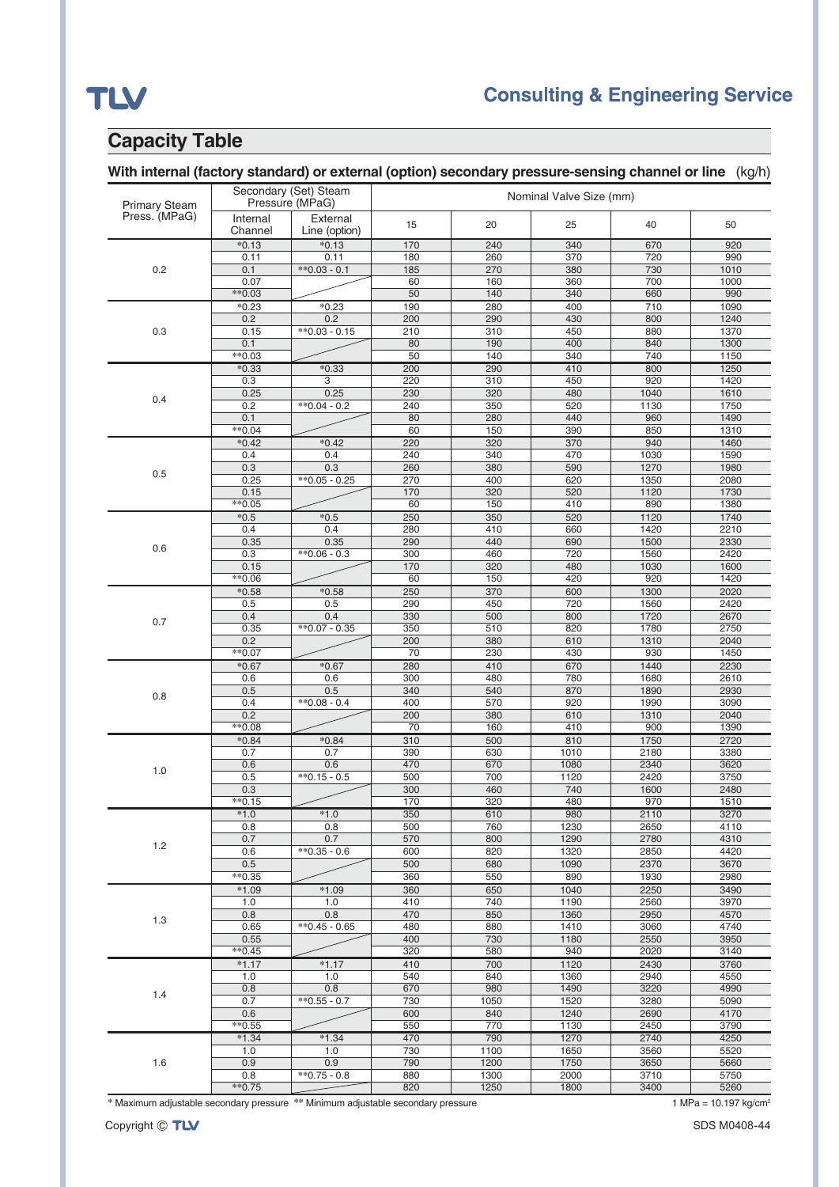## TLV

## **Consulting & Engineering Service**

## **Capacity Table**

| <b>Primary Steam</b> | Secondary (Set) Steam<br>Pressure (MPaG) |                           | Nominal Valve Size (mm) |            |              |              |              |
|----------------------|------------------------------------------|---------------------------|-------------------------|------------|--------------|--------------|--------------|
| Press. (MPaG)        | Internal<br>Channel                      | External<br>Line (option) | 15                      | 20         | 25           | 40           | 50           |
|                      | $*0.13$                                  | $*0.13$                   | 170                     | 240        | 340          | 670          | 920          |
|                      | 0.11                                     | 0.11                      | 180                     | 260        | 370          | 720          | 990          |
| 0.2                  | 0.1                                      | $*$ 0.03 - 0.1            | 185                     | 270        | 380          | 730          | 1010         |
|                      | 0.07                                     |                           | 60                      | 160        | 360          | 700          | 1000         |
|                      | $*0.03$                                  |                           | 50                      | 140        | 340          | 660          | 990          |
|                      | $*0.23$                                  | $*0.23$                   | 190                     | 280        | 400          | 710          | 1090         |
|                      | 0.2                                      | 0.2                       | 200                     | 290        | 430          | 800          | 1240         |
| 0.3                  | 0.15                                     | $*0.03 - 0.15$            | 210                     | 310        | 450          | 880          | 1370         |
|                      | 0.1<br>$*0.03$                           |                           | 80<br>$\overline{50}$   | 190<br>140 | 400          | 840<br>740   | 1300<br>1150 |
|                      |                                          |                           |                         |            | 340          |              |              |
|                      | $*0.33$<br>0.3                           | $*0.33$<br>3              | 200<br>220              | 290<br>310 | 410<br>450   | 800<br>920   | 1250<br>1420 |
|                      | 0.25                                     | 0.25                      | 230                     | 320        | 480          | 1040         | 1610         |
| 0.4                  | 0.2                                      | $*0.04 - 0.2$             | 240                     | 350        | 520          | 1130         | 1750         |
|                      | 0.1                                      |                           | 80                      | 280        | 440          | 960          | 1490         |
|                      | $*0.04$                                  |                           | 60                      | 150        | 390          | 850          | 1310         |
|                      | $*0.42$                                  | $*0.42$                   | 220                     | 320        | 370          | 940          | 1460         |
|                      | 0.4                                      | 0.4                       | 240                     | 340        | 470          | 1030         | 1590         |
|                      | 0.3                                      | 0.3                       | 260                     | 380        | 590          | 1270         | 1980         |
| 0.5                  | 0.25                                     | $*0.05 - 0.25$            | 270                     | 400        | 620          | 1350         | 2080         |
|                      | 0.15                                     |                           | 170                     | 320        | 520          | 1120         | 1730         |
|                      | $*0.05$                                  |                           | 60                      | 150        | 410          | 890          | 1380         |
|                      | $*0.5$                                   | $*0.5$                    | 250                     | 350        | 520          | 1120         | 1740         |
|                      | 0.4                                      | 0.4                       | 280                     | 410        | 660          | 1420         | 2210         |
|                      | 0.35                                     | 0.35                      | 290                     | 440        | 690          | 1500         | 2330         |
| 0.6                  | 0.3                                      | $*0.06 - 0.3$             | 300                     | 460        | 720          | 1560         | 2420         |
|                      | 0.15                                     |                           | 170                     | 320        | 480          | 1030         | 1600         |
|                      | $*0.06$                                  |                           | 60                      | 150        | 420          | 920          | 1420         |
|                      | $*0.58$                                  | $*0.58$                   | 250                     | 370        | 600          | 1300         | 2020         |
|                      | 0.5                                      | 0.5                       | 290                     | 450        | 720          | 1560         | 2420         |
| 0.7                  | 0.4                                      | 0.4                       | 330                     | 500        | 800          | 1720         | 2670         |
|                      | 0.35                                     | $*0.07 - 0.35$            | 350                     | 510        | 820          | 1780         | 2750         |
|                      | 0.2                                      |                           | 200                     | 380        | 610          | 1310         | 2040         |
|                      | $*0.07$                                  |                           | 70                      | 230        | 430          | 930          | 1450         |
|                      | $*0.67$                                  | $*0.67$                   | 280                     | 410        | 670          | 1440         | 2230         |
|                      | 0.6                                      | 0.6                       | 300                     | 480        | 780          | 1680         | 2610         |
| 0.8                  | 0.5                                      | 0.5                       | 340                     | 540        | 870          | 1890         | 2930         |
|                      | 0.4                                      | $*0.08 - 0.4$             | 400                     | 570        | 920          | 1990         | 3090         |
|                      | 0.2                                      |                           | 200                     | 380        | 610          | 1310         | 2040         |
|                      | $*0.08$                                  |                           | 70                      | 160        | 410          | 900          | 1390         |
|                      | $*0.84$                                  | $*0.84$                   | 310                     | 500        | 810          | 1750         | 2720         |
|                      | 0.7                                      | 0.7                       | 390                     | 630        | 1010         | 2180         | 3380         |
| 1.0                  | 0.6<br>0.5                               | 0.6<br>$*$ 0.15 - 0.5     | 470<br>500              | 670<br>700 | 1080<br>1120 | 2340<br>2420 | 3620<br>3750 |
|                      | 0.3                                      |                           | 300                     | 460        | 740          | 1600         | 2480         |
|                      | $*0.15$                                  |                           | 170                     | 320        | 480          | 970          | 1510         |
|                      | $*1.0$                                   | $*1.0$                    | 350                     | 610        | 980          | 2110         | 3270         |
|                      | 0.8                                      | 0.8                       | 500                     | 760        | 1230         | 2650         | 4110         |
|                      | 0.7                                      | 0.7                       | 570                     | 800        | 1290         | 2780         | 4310         |
| 1.2                  | 0.6                                      | $*0.35 - 0.6$             | 600                     | 820        | 1320         | 2850         | 4420         |
|                      | 0.5                                      |                           | 500                     | 680        | 1090         | 2370         | 3670         |
|                      | $*0.35$                                  |                           | 360                     | 550        | 890          | 1930         | 2980         |
|                      | $*1.09$                                  | $*1.09$                   | 360                     | 650        | 1040         | 2250         | 3490         |
|                      | 1.0                                      | 1.0                       | 410                     | 740        | 1190         | 2560         | 3970         |
|                      | 0.8                                      | 0.8                       | 470                     | 850        | 1360         | 2950         | 4570         |
| 1.3                  | 0.65                                     | $*$ 0.45 - 0.65           | 480                     | 880        | 1410         | 3060         | 4740         |
|                      | 0.55                                     |                           | 400                     | 730        | 1180         | 2550         | 3950         |
|                      | $*$ 0.45                                 |                           | 320                     | 580        | 940          | 2020         | 3140         |
|                      | $*1.17$                                  | $*1.17$                   | 410                     | 700        | 1120         | 2430         | 3760         |
|                      | 1.0                                      | 1.0                       | 540                     | 840        | 1360         | 2940         | 4550         |
|                      | 0.8                                      | 0.8                       | 670                     | 980        | 1490         | 3220         | 4990         |
| 1.4                  | 0.7                                      | $*$ $0.55 - 0.7$          | 730                     | 1050       | 1520         | 3280         | 5090         |
|                      | 0.6                                      |                           | 600                     | 840        | 1240         | 2690         | 4170         |
|                      | $*$ 0.55                                 |                           | 550                     | 770        | 1130         | 2450         | 3790         |
|                      | $*1.34$                                  | $*1.34$                   | 470                     | 790        | 1270         | 2740         | 4250         |
|                      | 1.0                                      | 1.0                       | 730                     | 1100       | 1650         | 3560         | 5520         |
| 1.6                  | 0.9                                      | 0.9                       | 790                     | 1200       | 1750         | 3650         | 5660         |
|                      | 0.8                                      | $*0.75 - 0.8$             | 880                     | 1300       | 2000         | 3710         | 5750         |
|                      | $*0.75$                                  |                           | 820                     | 1250       | 1800         | 3400         | 5260         |

\* Maximum adjustable secondary pressure \*\* Minimum adjustable secondary pressure 1 MPa = 10.197 kg/cm<sup>2</sup>